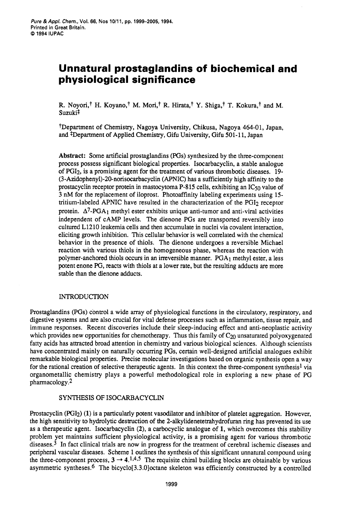# **Unnatural prostaglandins of biochemical and physiological significance**

R. Noyori,<sup>†</sup> H. Koyano,<sup>†</sup> M. Mori,<sup>†</sup> R. Hirata,<sup>†</sup> Y. Shiga,<sup>†</sup> T. Kokura,<sup>†</sup> and M. Suzuki<sup>‡</sup>

?Department of Chemistry, Nagoya University, Chikusa, Nagoya **464-0** 1, Japan, and <sup>‡</sup>Department of Applied Chemistry, Gifu University, Gifu 501-11, Japan

**Abstract:** Some artificial prostaglandins (PGs) synthesized by the three-component process possess significant biological properties. Isocarbacyclin, a stable analogue of PGI2, is a promising agent for the treatment of various thrombotic diseases. 19- **(3-Azidophenyl)-20-norisocarbacyclin** (APNIC) has a sufficiently high affinity to the prostacyclin receptor protein in mastocytoma P-815 cells, exhibiting an IC50 value of 3 nM for the replacement of iloprost. Photoaffinity labeling experiments using 15 tritium-labeled APNIC have resulted in the characterization of the PGI<sub>2</sub> receptor protein.  $\Delta^7$ -PGA<sub>1</sub> methyl ester exhibits unique anti-tumor and anti-viral activities independent of CAMP levels. The dienone PGs are transported reversibly into cultured L1210 leukemia cells and then accumulate in nuclei via covalent interaction, eliciting growth inhibition. This cellular behavior is well correlated with the chemical behavior in the presence of thiols. The dienone undergoes a reversible Michael reaction with various thiols in the homogeneous phase, whereas the reaction with polymer-anchored thiols occurs in an irreversible manner. PGA<sub>1</sub> methyl ester, a less potent enone PG, reacts with thiols at a lower rate, but the resulting adducts are more stable than the dienone adducts.

### INTRODUCTION

Prostaglandins (PGs) control a wide array of physiological functions in the circulatory, respiratory, and digestive systems and are also crucial for vital defense processes such as inflammation, tissue repair, and immune responses. Recent discoveries include their sleep-inducing effect and anti-neoplastic activity which provides new opportunities for chemotherapy. Thus this family of  $C_{20}$  unsaturated polyoxygenated fatty acids has attracted broad attention in chemistry and various biological sciences. Although scientists have concentrated mainly on naturally occurring PGs, certain well-designed artificial analogues exhibit remarkable biological properties. Precise molecular investigations based on organic synthesis open a way for the rational creation of selective therapeutic agents. In this context the three-component synthesis<sup>1</sup> via organometallic chemistry plays a powerful methodological role in exploring a new phase of PG pharmacology.2

### SYNTHESIS OF ISOCARBACYCLIN

Prostacyclin (PGI2) **(1)** is a particularly potent vasodilator and inhibitor of platelet aggregation. However, the high sensitivity to hydrolytic destruction of the **2-alkylidenetetrahydrofuran** ring has prevented its use as a therapeutic agent. Isocarbacyclin **(2),** a carbocyclic analogue of **1,** which overcomes this stability problem yet maintains sufficient physiological activity, is a promising agent for various thrombotic diseases.3 In fact clinical trials are now in progress for the treatment of cerebral ischemic diseases and peripheral vascular diseases. Scheme 1 outlines the synthesis of this significant unnatural compound using the three-component process,  $3 \rightarrow 4.1445$  The requisite chiral building blocks are obtainable by various asymmetric syntheses.<sup>6</sup> The bicyclo[3.3.0]octane skeleton was efficiently constructed by a controlled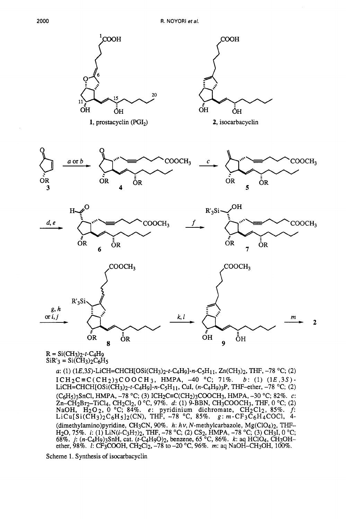

 $R = Si(CH<sub>3</sub>)<sub>2</sub>-t-C<sub>4</sub>H<sub>9</sub>$  $SiR'_{3} = Si(CH_{3})_{2}C_{6}H_{5}$ 

> a: (1) **(lE,3S)-LiCH=CHCH[OSi(CH3)2-t-C4H9]-n-C5H11,** Zn(CH3)2, THF, -78 "C; **(2) LiCH=CHCH[OSi(CH3)2-r-C4H9]-n-C5H11,** CuI, (n-CqHg)-jP, THF-ether, -78 "C; **(2)**   $(C_6H_5)$ <sub>3</sub>SnCl, HMPA,  $-78$  °C; (3) ICH<sub>2</sub>C=C(CH<sub>2</sub>)<sub>3</sub>COOCH<sub>3</sub>, HMPA,  $-30$  °C; 82%. *c*: Zn-CH<sub>2</sub>Br<sub>2</sub>-TiCl<sub>4</sub>, CH<sub>2</sub>Cl<sub>2</sub>, 0 °C, 97%. *d*: (1) 9-BBN, CH<sub>3</sub>COOCH<sub>3</sub>, THF, 0 °C; (2) NaOH,  $H_2O_2$ , 0 °C; 84%. *e*: pyridinium dichromate,  $CH_2Cl_2$ , 85%. *f*:  $LiCu[Si(\overline{CH_3})_2C_6H_5]_2(CN)$ , THF, -78 °C, 85%.  $g: m\text{-}CF_3C_6H_4COCl$ , 4-(dimethylamino)pyridine, CH3CN, 90%. *h: hv,* N-methylcarbazole, Mg(C104)2, THF-H<sub>2</sub>O, 75%. *i*: (1) LiN(*i*-C<sub>3</sub>H<sub>7</sub>)<sub>2</sub>, THF, -78 °C; (2) CS<sub>2</sub>, HMPA, -78 °C; (3) CH<sub>3</sub>I, 0 °C; 68%. *j*: (*n*-C<sub>4</sub>H<sub>9</sub>)<sub>3</sub>SnH, cat. (*t*-C<sub>4</sub>H<sub>9</sub>O)<sub>2</sub>, benzene, 65 °C, 86%. *k*: aq HClO<sub>4</sub>, CH<sub>3</sub>OHether, 98%. *I:* CF3COOH, CH2C12, -78 to **-20** "C, 96%. m: aq NaOH-CH30H, 100%.  $ICH_2C \equiv C(CH_2)_{3}COOCH_3$ , HMPA, -40 °C; 71%. *b*: (1) (1E,3S)-

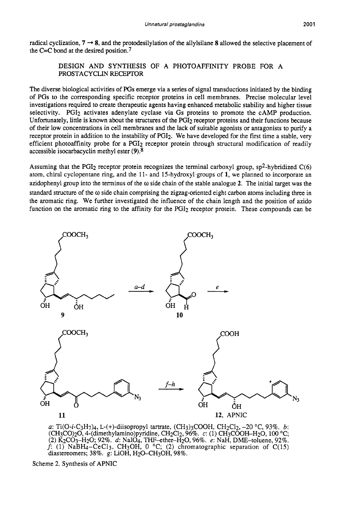radical cyclization,  $7 \rightarrow 8$ , and the protodesilylation of the allylsilane 8 allowed the selective placement of the C=C bond at the desired position.7

> DESIGN AND SYNTHESIS OF **A** PHOTOAFFINITY PROBE FOR A PROSTACYCLIN RECEPTOR

The diverse biological activities of **PGs** emerge via a series of signal transductions initiated by the binding of PGs to the corresponding specific receptor proteins in cell membranes. Precise molecular level investigations required to create therapeutic agents having enhanced metabolic stability and higher tissue selectivity. PGI<sub>2</sub> activates adenylate cyclase via Gs proteins to promote the cAMP production. Unfortunately, little is known about the structures of the PGI2 receptor proteins and their functions because of their low concentrations in cell membranes and the lack of suitable agonists or antagonists to purify a receptor protein in addition to the instability of PGI2. We have developed for the first time a stable, very efficient photoaffinity probe for a PGI<sub>2</sub> receptor protein through structural modification of readily accessible isocarbacyclin methyl ester **(9).8** 

Assuming that the PGI<sub>2</sub> receptor protein recognizes the terminal carboxyl group,  $sp^2$ -hybridized C(6) atom, chiral cyclopentane ring, and the 11- and 15-hydroxyl groups of 1, we planned to incorporate an azidophenyl group into the terminus of the *o* side chain of the stable analogue **2.** The initial target was the standard structure of the *o* side chain comprising the zigzag-oriented eight carbon atoms including three in the aromatic ring. We further investigated the influence of the chain length and the position of azido function on the aromatic ring to the affinity for the PGI<sub>2</sub> receptor protein. These compounds can be



*a*: Ti(O-*i*-C<sub>3</sub>H<sub>7</sub>)<sub>4</sub>, L-(+)-diisopropyl tartrate, (CH<sub>3</sub>)<sub>3</sub>COOH, CH<sub>2</sub>Cl<sub>2</sub>, -20 °C, 93%. *b*: **(CH3C0)20,4-(dimethylamino)pyridine,** CH2C12,96%. c: (1) CH3COOH-H20, 100 "C; (2) K2C03-H20; 92%. *d:* NaIO4, W-ether-HzO, 96%. *e:* NaH, DME-toluene, 92%.  $f: (1)$  NaBH<sub>4</sub>-CeCl<sub>3</sub>, CH<sub>3</sub>OH, 0 °C; (2) chromatographic separation of C(15) diastereomers; 38%. g: LiOH, H<sub>2</sub>O-CH<sub>3</sub>OH, 98%.

Scheme 2. Synthesis of APNIC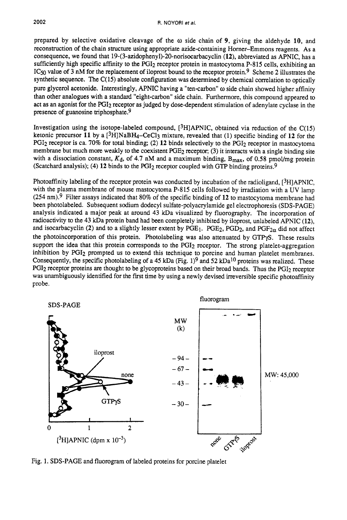prepared by selective oxidative cleavage of the *o* side chain of **9,** giving the aldehyde **10,** and reconstruction of the chain structure using appropriate azide-containing Horner-Emmons reagents. As a consequence, we found that **19-(3-azidophenyl)-2O-norisocarbacyclin (12),** abbreviated as APNIC, has a sufficiently high specific affinity to the PGI<sub>2</sub> receptor protein in mastocytoma P-815 cells, exhibiting an IC50 value of **3** nM for the replacement of iloprost bound to the receptor protein.9 Scheme **2** illustrates the synthetic sequence. The  $C(15)$  absolute configuration was determined by chemical correlation to optically pure glycerol acetonide. Interestingly, APNIC having a "ten-carbon" *o* side chain showed higher affinity than other analogues with a standard "eight-carbon" side chain. Furthermore, this compound appeared to act as an agonist for the PGI<sub>2</sub> receptor as judged by dose-dependent stimulation of adenylate cyclase in the presence of guanosine triphosphate.<sup>9</sup>

Investigation using the isotope-labeled compound,  $[3H]$ APNIC, obtained via reduction of the C(15) ketonic precursor **11** by a [3H]NaBH4-CeC13 mixture, revealed that (1) specific binding of **12** for the  $PGI<sub>2</sub> receptor is ca. 70% for total binding; (2) 12 binds selectively to the  $PGI<sub>2</sub> receptor in mastocytoma$$ membrane but much more weakly to the coexistent PGE<sub>2</sub> receptor; (3) it interacts with a single binding site with a dissociation constant,  $K_d$ , of 4.7 nM and a maximum binding,  $B_{\text{max}}$ , of 0.58 pmol/mg protein (Scatchard analysis); (4) **12** binds to the PGI2 receptor coupled with GTP binding proteins.9

Photoaffinity labeling of the receptor protein was conducted by incubation of the radioligand, [3H]APNIC, with the plasma membrane of mouse mastocytoma P-815 cells followed by irradiation with a UV lamp **(254** nm).9 Filter assays indicated that 80% of the specific binding of **12** to mastocytoma membrane had been photolabeled. Subsequent sodium dodecyl sulfate-polyacrylamide gel electrophoresis (SDS-PAGE) analysis indicated a major peak at around 43 kDa visualized by fluorography. The incorporation of radioactivity to the **43** kDa protein band had been completely inhibited by iloprost, unlabeled APNIC **(12),**  and isocarbacyclin (2) and to a slightly lesser extent by PGE<sub>1</sub>. PGE<sub>2</sub>, PGD<sub>2</sub>, and PGF<sub>2 $\alpha$ </sub> did not affect the photoincorporation of this protein. Photolabeling was also attenuated by GTPyS. These results support the idea that this protein corresponds to the PGI<sub>2</sub> receptor. The strong platelet-aggregation inhibition by PGI2 prompted us to extend this technique to porcine and human platelet membranes. Consequently, the specific photolabeling of a 45 kDa (Fig. 1)9 and **52** kDal0 proteins was realized. These PGI<sub>2</sub> receptor proteins are thought to be glycoproteins based on their broad bands. Thus the PGI<sub>2</sub> receptor was unambiguously identified for the first time by using a newly devised irreversible specific photoaffinity probe.



Fig. 1. SDS-PAGE and fluorogram of labeled proteins for porcine platelet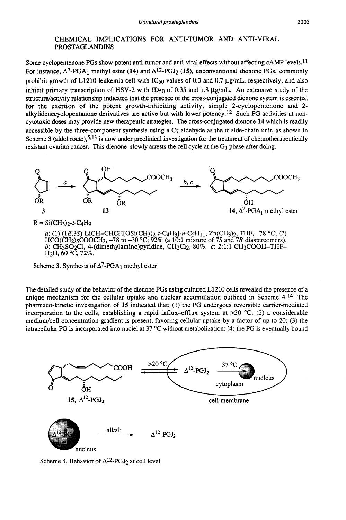## CHEMICAL IMPLICATIONS FOR ANTI-TUMOR AND ANTI-VIRAL PROSTAGLANDINS

Some cyclopentenone PGs show potent anti-tumor and anti-viral effects without affecting cAMP levels.<sup>11</sup> For instance,  $\Delta^7$ -PGA<sub>1</sub> methyl ester (14) and  $\Delta^{12}$ -PGJ<sub>2</sub> (15), unconventional dienone PGs, commonly prohibit growth of L1210 leukemia cell with  $IC_{50}$  values of 0.3 and 0.7  $\mu$ g/mL, respectively, and also inhibit primary transcription of HSV-2 with ID<sub>50</sub> of 0.35 and 1.8  $\mu$ g/mL. An extensive study of the structure/activity relationship indicated that the presence of the cross-conjugated dienone system is essential for the exertion of the potent growth-inhibiting activity; simple 2-cyclopentenone and 2 **alkylidenecyclopentanone** derivatives are active but with lower potency.12 Such PG activities at noncytotoxic doses may provide new therapeutic strategies. The cross-conjugated dienone **14** which is readily accessible by the three-component synthesis using a  $C_7$  aldehyde as the  $\alpha$  side-chain unit, as shown in Scheme 3 (aldol route),<sup>5,13</sup> is now under preclinical investigation for the treatment of chemotherapeutically resistant ovarian cancer. This dienone slowly arrests the cell cycle at the G<sub>1</sub> phase after doing.



 $HCO(CH<sub>2</sub>)<sub>5</sub>COOCH<sub>3</sub>$ ,  $-78$  to  $-30$  °C;  $92\%$  (a 10:1 mixture of 7S and 7R diastereomers). *b:* CH3S02C1, **4-(dimethylamino)pyridine,** CH2C12, 80%. c: 2: 1: 1 CH3COOH-THF-H20,60 "C, **72%.** 

Scheme 3. Synthesis of  $\Delta^7$ -PGA<sub>1</sub> methyl ester

The detailed study of the behavior of the dienone PGs using cultured **L1210** cells revealed the presence of a unique mechanism for the cellular uptake and nuclear accumulation outlined in Scheme  $4.14$  The pharmaco-kinetic investigation of **15** indicated that: **(1)** the PG undergoes reversible carrier-mediated incorporation to the cells, establishing a rapid influx-efflux system at  $>20$  °C; (2) a considerable medium/cell concentration gradient is present, favoring cellular uptake by a factor of up to **20;** (3) the intracellular PG is incorporated into nuclei at  $37^{\circ}$ C without metabolization; (4) the PG is eventually bound



Scheme 4. Behavior of  $\Delta^{12}$ -PGJ<sub>2</sub> at cell level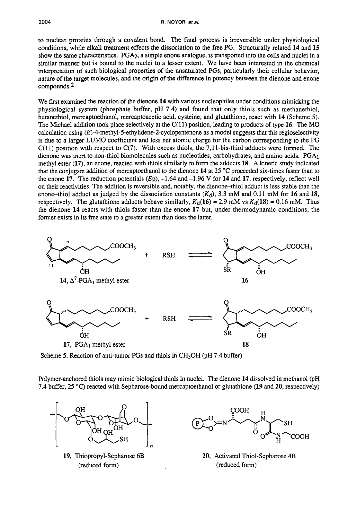to nuclear proteins through a covalent bond. The final process **is** irreversible under physiological conditions, while alkali treatment effects the dissociation to the free PG. Structurally related 14 and 15 show the same characteristics. PGA2, a simple enone analogue, is transported into the cells and nuclei in a similar manner but is bound to the nuclei to a lesser extent. We have been interested in the chemical interpretation of such biological properties of the unsaturated PGs, particularly their cellular behavior, nature of the target molecules, and the origin of the difference in potency between the dienone and enone compounds.2

We frst examined the reaction of the dienone **14** with various nucleophiles under conditions mimicking the physiological system (phosphate buffer, pH 7.4) and found that only thiols such as methanethiol, butanethiol, mercaptoethanol, mercaptoacetic acid, cysteine, and glutathione, react with **14** (Scheme 5). The Michael addition took place selectively at the C(11) position, leading to products of type **16.** The MO calculation using **(E)-4-methyl-5-ethylidene-2-cyclopentenone** as a model suggests that this regioselectivity is due to a larger LUMO coefficient and less net atomic charge for the carbon corresponding to the PG  $C(11)$  position with respect to  $C(7)$ . With excess thiols, the 7,11-bis-thiol adducts were formed. The dienone was inert to non-thiol biomolecules such as nucleotides, carbohydrates, and amino acids. PGA<sub>1</sub> methyl ester **(17),** an enone, reacted with thiols similarly to fom the adducts **18.** A kinetic study indicated that the conjugate addition of mercaptoethanol to the dienone 14 at 25 °C proceeded six-times faster than to the enone **17.** The reduction potentials  $(Ep)$ ,  $-1.64$  and  $-1.96$  V for **14** and **17**, respectively, reflect well on their reactivities. The addition is reversible and, notably, the dienone-thiol adduct is less stable than the enone-thiol adduct as judged by the dissociation constants  $(K_d)$ , 3.3 mM and 0.11 mM for 16 and 18, respectively. The glutathione adducts behave similarly,  $K_d(16) = 2.9$  mM vs  $K_d(18) = 0.16$  mM. Thus the dienone **14** reacts with thiols faster than the enone **17** but, under thermodynamic conditions, the former exists in its free state to a greater extent than does the latter. R. NOYORI et al.<br>
16. NoYORI et al.<br>
16. NoYORI et al.<br>
16. The final process is irreversible under physiological<br>
18. the dissociation to the free PG. Structurally related 14 and 15<br>
18. If the unsatured PGs, particularl 8. NOYORI et al.<br>
muclear proteins through a covalent bond. The final process is irreve<br>
muclear proteins through a covalent bond. The final process is irreve<br>
muclear proteins ROA<sub>2</sub> a simple enon analogue, is rapported<br>



Scheme *5.* Reaction of anti-tumor PGs and thiols in CH30H (pH 7.4 buffer)

Polymer-anchored thiols may mimic biological thiols in nuclei. The dienone **14** dissolved in methanol (pH 7.4 buffer, 25 "C) reacted with Sepharose-bound mercaptoethanol or glutathione **(19** and **20,** respectively)



**19,** Thiopropyl-Sepharose 6B (reduced form)



**20,** Activated Thiol-Sepharose 4B (reduced form)